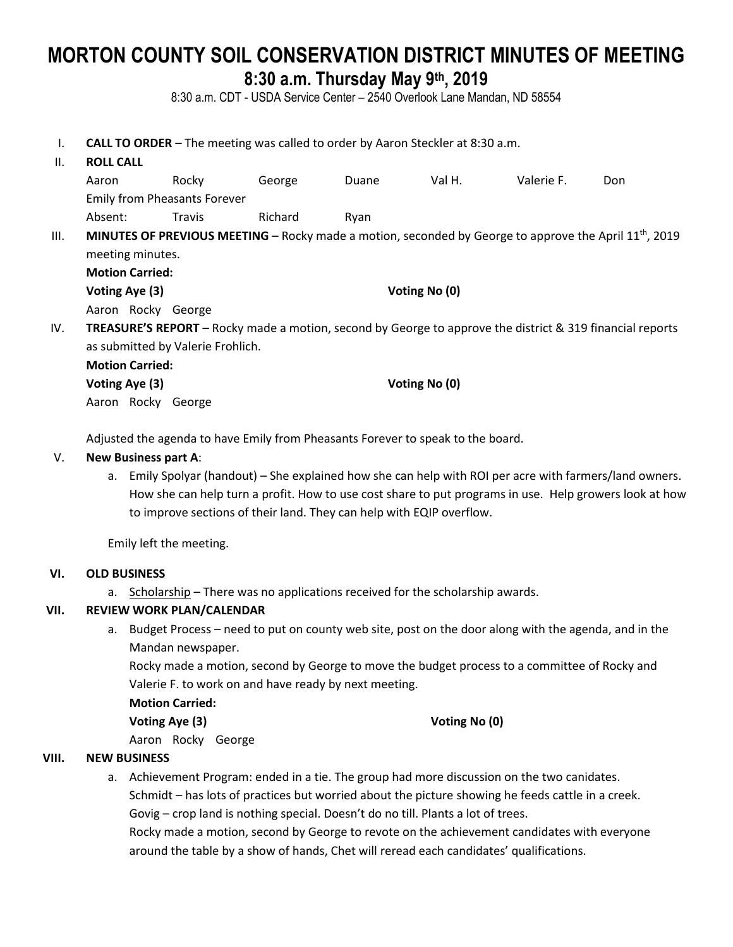# **MORTON COUNTY SOIL CONSERVATION DISTRICT MINUTES OF MEETING 8:30 a.m. Thursday May 9th , 2019**

8:30 a.m. CDT - USDA Service Center – 2540 Overlook Lane Mandan, ND 58554

I. **CALL TO ORDER** – The meeting was called to order by Aaron Steckler at 8:30 a.m.

## II. **ROLL CALL**

|    | Aaron                                                                                                              | Rocky  | George  | <b>Duane</b> | Val H. | Valerie F. | Don. |  |  |
|----|--------------------------------------------------------------------------------------------------------------------|--------|---------|--------------|--------|------------|------|--|--|
|    | <b>Emily from Pheasants Forever</b>                                                                                |        |         |              |        |            |      |  |  |
|    | Absent:                                                                                                            | Fravis | Richard | Rvan         |        |            |      |  |  |
| Ш. | <b>MINUTES OF PREVIOUS MEETING –</b> Rocky made a motion, seconded by George to approve the April $11^{th}$ , 2019 |        |         |              |        |            |      |  |  |
|    | meeting minutes.                                                                                                   |        |         |              |        |            |      |  |  |
|    |                                                                                                                    |        |         |              |        |            |      |  |  |

**Motion Carried: Voting Aye (3) Voting No (0)**

Aaron Rocky George

IV. **TREASURE'S REPORT** – Rocky made a motion, second by George to approve the district & 319 financial reports as submitted by Valerie Frohlich.

| <b>Motion Carried:</b> |                    |               |
|------------------------|--------------------|---------------|
| Voting Aye (3)         |                    | Voting No (0) |
|                        | Aaron Rocky George |               |

Adjusted the agenda to have Emily from Pheasants Forever to speak to the board.

#### V. **New Business part A**:

a. Emily Spolyar (handout) – She explained how she can help with ROI per acre with farmers/land owners. How she can help turn a profit. How to use cost share to put programs in use. Help growers look at how to improve sections of their land. They can help with EQIP overflow.

Emily left the meeting.

#### **VI. OLD BUSINESS**

a. Scholarship – There was no applications received for the scholarship awards.

## **VII. REVIEW WORK PLAN/CALENDAR**

a. Budget Process – need to put on county web site, post on the door along with the agenda, and in the Mandan newspaper.

Rocky made a motion, second by George to move the budget process to a committee of Rocky and Valerie F. to work on and have ready by next meeting.

**Motion Carried:**

**Voting Aye (3) Voting No (0)**

Aaron Rocky George

## **VIII. NEW BUSINESS**

a. Achievement Program: ended in a tie. The group had more discussion on the two canidates. Schmidt – has lots of practices but worried about the picture showing he feeds cattle in a creek. Govig – crop land is nothing special. Doesn't do no till. Plants a lot of trees.

Rocky made a motion, second by George to revote on the achievement candidates with everyone around the table by a show of hands, Chet will reread each candidates' qualifications.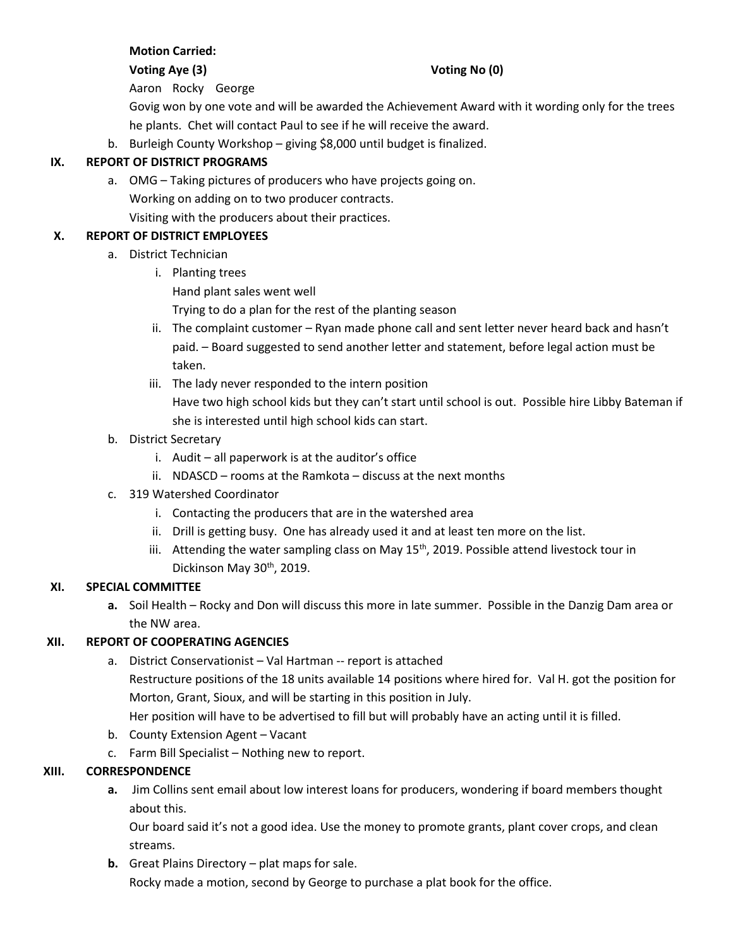# **Motion Carried:**

#### **Voting Aye (3) Voting No (0)**

Aaron Rocky George

Govig won by one vote and will be awarded the Achievement Award with it wording only for the trees he plants. Chet will contact Paul to see if he will receive the award.

b. Burleigh County Workshop – giving \$8,000 until budget is finalized.

## **IX. REPORT OF DISTRICT PROGRAMS**

a. OMG – Taking pictures of producers who have projects going on. Working on adding on to two producer contracts. Visiting with the producers about their practices.

## **X. REPORT OF DISTRICT EMPLOYEES**

- a. District Technician
	- i. Planting trees Hand plant sales went well Trying to do a plan for the rest of the planting season
	- ii. The complaint customer Ryan made phone call and sent letter never heard back and hasn't paid. – Board suggested to send another letter and statement, before legal action must be taken.
	- iii. The lady never responded to the intern position Have two high school kids but they can't start until school is out. Possible hire Libby Bateman if she is interested until high school kids can start.
- b. District Secretary
	- i. Audit all paperwork is at the auditor's office
	- ii. NDASCD rooms at the Ramkota discuss at the next months
- c. 319 Watershed Coordinator
	- i. Contacting the producers that are in the watershed area
	- ii. Drill is getting busy. One has already used it and at least ten more on the list.
	- iii. Attending the water sampling class on May  $15<sup>th</sup>$ , 2019. Possible attend livestock tour in Dickinson May 30<sup>th</sup>, 2019.

#### **XI. SPECIAL COMMITTEE**

**a.** Soil Health – Rocky and Don will discuss this more in late summer. Possible in the Danzig Dam area or the NW area.

#### **XII. REPORT OF COOPERATING AGENCIES**

- a. District Conservationist Val Hartman -- report is attached Restructure positions of the 18 units available 14 positions where hired for. Val H. got the position for Morton, Grant, Sioux, and will be starting in this position in July. Her position will have to be advertised to fill but will probably have an acting until it is filled.
- b. County Extension Agent Vacant
- c. Farm Bill Specialist Nothing new to report.

#### **XIII. CORRESPONDENCE**

**a.** Jim Collins sent email about low interest loans for producers, wondering if board members thought about this.

Our board said it's not a good idea. Use the money to promote grants, plant cover crops, and clean streams.

**b.** Great Plains Directory – plat maps for sale.

Rocky made a motion, second by George to purchase a plat book for the office.